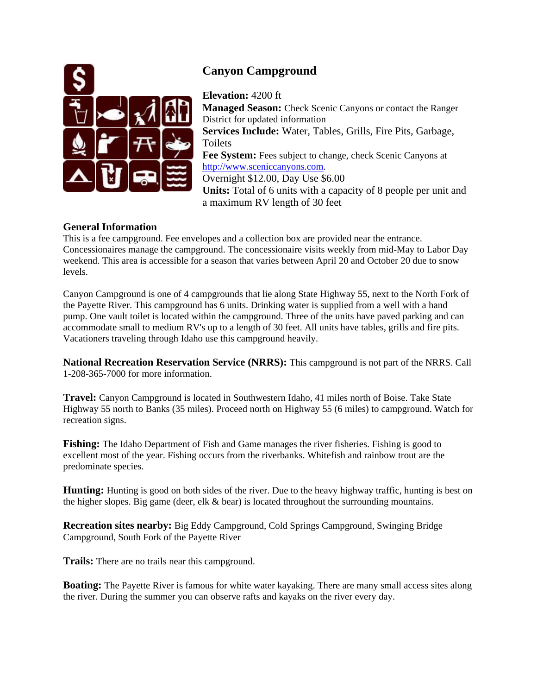

## **Canyon Campground**

**Elevation:** 4200 ft **Managed Season:** Check Scenic Canyons or contact the Ranger District for updated information **Services Include:** Water, Tables, Grills, Fire Pits, Garbage, Toilets Fee System: Fees subject to change, check Scenic Canyons at [http://www.sceniccanyons.com.](http://www.sceniccanyons.com/) Overnight \$12.00, Day Use \$6.00 **Units:** Total of 6 units with a capacity of 8 people per unit and a maximum RV length of 30 feet

## **General Information**

This is a fee campground. Fee envelopes and a collection box are provided near the entrance. Concessionaires manage the campground. The concessionaire visits weekly from mid-May to Labor Day weekend. This area is accessible for a season that varies between April 20 and October 20 due to snow levels.

Canyon Campground is one of 4 campgrounds that lie along State Highway 55, next to the North Fork of the Payette River. This campground has 6 units. Drinking water is supplied from a well with a hand pump. One vault toilet is located within the campground. Three of the units have paved parking and can accommodate small to medium RV's up to a length of 30 feet. All units have tables, grills and fire pits. Vacationers traveling through Idaho use this campground heavily.

**National Recreation Reservation Service (NRRS):** This campground is not part of the NRRS. Call 1-208-365-7000 for more information.

**Travel:** Canyon Campground is located in Southwestern Idaho, 41 miles north of Boise. Take State Highway 55 north to Banks (35 miles). Proceed north on Highway 55 (6 miles) to campground. Watch for recreation signs.

**Fishing:** The Idaho Department of Fish and Game manages the river fisheries. Fishing is good to excellent most of the year. Fishing occurs from the riverbanks. Whitefish and rainbow trout are the predominate species.

**Hunting:** Hunting is good on both sides of the river. Due to the heavy highway traffic, hunting is best on the higher slopes. Big game (deer, elk  $\&$  bear) is located throughout the surrounding mountains.

**Recreation sites nearby:** Big Eddy Campground, Cold Springs Campground, Swinging Bridge Campground, South Fork of the Payette River

**Trails:** There are no trails near this campground.

**Boating:** The Payette River is famous for white water kayaking. There are many small access sites along the river. During the summer you can observe rafts and kayaks on the river every day.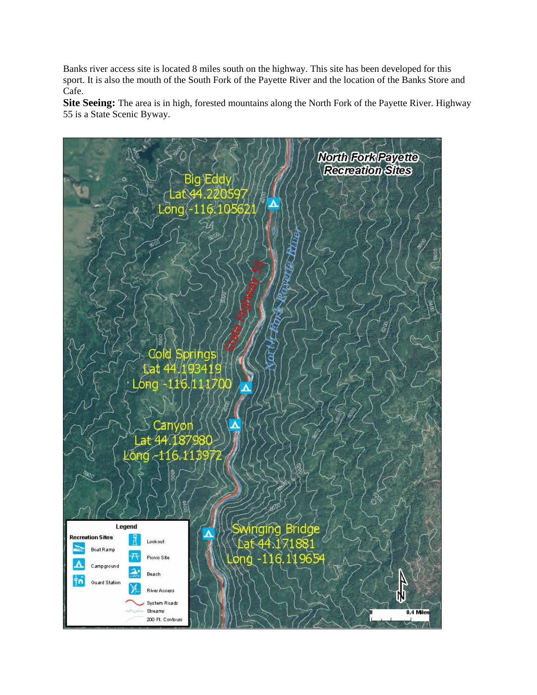Banks river access site is located 8 miles south on the highway. This site has been developed for this sport. It is also the mouth of the South Fork of the Payette River and the location of the Banks Store and Cafe.

**Site Seeing:** The area is in high, forested mountains along the North Fork of the Payette River. Highway 55 is a State Scenic Byway.